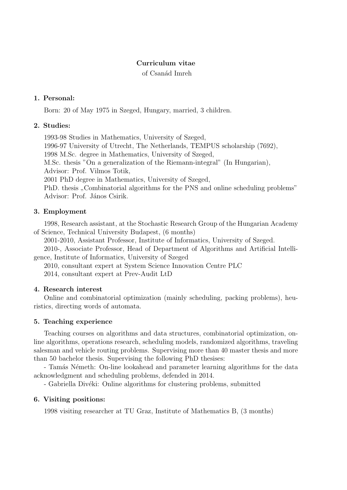#### Curriculum vitae

of Csan´ad Imreh

#### 1. Personal:

Born: 20 of May 1975 in Szeged, Hungary, married, 3 children.

#### 2. Studies:

1993-98 Studies in Mathematics, University of Szeged, 1996-97 University of Utrecht, The Netherlands, TEMPUS scholarship (7692), 1998 M.Sc. degree in Mathematics, University of Szeged, M.Sc. thesis "On a generalization of the Riemann-integral" (In Hungarian), Advisor: Prof. Vilmos Totik, 2001 PhD degree in Mathematics, University of Szeged, PhD. thesis "Combinatorial algorithms for the PNS and online scheduling problems" Advisor: Prof. János Csirik.

## 3. Employment

1998, Research assistant, at the Stochastic Research Group of the Hungarian Academy of Science, Technical University Budapest, (6 months)

2001-2010, Assistant Professor, Institute of Informatics, University of Szeged.

2010-, Associate Professor, Head of Department of Algorithms and Artificial Intelligence, Institute of Informatics, University of Szeged

2010, consultant expert at System Science Innovation Centre PLC 2014, consultant expert at Prev-Audit LtD

## 4. Research interest

Online and combinatorial optimization (mainly scheduling, packing problems), heuristics, directing words of automata.

## 5. Teaching experience

Teaching courses on algorithms and data structures, combinatorial optimization, online algorithms, operations research, scheduling models, randomized algorithms, traveling salesman and vehicle routing problems. Supervising more than 40 master thesis and more than 50 bachelor thesis. Supervising the following PhD thesises:

- Tamás Németh: On-line lookahead and parameter learning algorithms for the data acknowledgment and scheduling problems, defended in 2014.

- Gabriella Divéki: Online algorithms for clustering problems, submitted

## 6. Visiting positions:

1998 visiting researcher at TU Graz, Institute of Mathematics B, (3 months)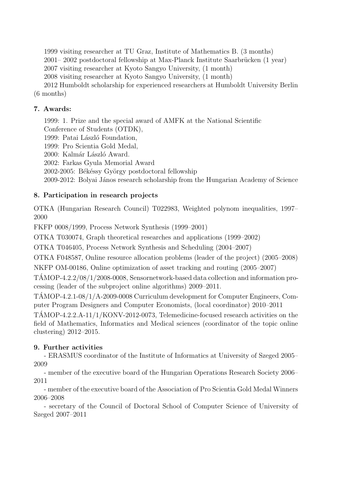1999 visiting researcher at TU Graz, Institute of Mathematics B. (3 months)

 $2001-2002$  postdoctoral fellowship at Max-Planck Institute Saarbrücken  $(1 \text{ year})$ 

2007 visiting researcher at Kyoto Sangyo University, (1 month)

2008 visiting researcher at Kyoto Sangyo University, (1 month)

2012 Humboldt scholarship for experienced researchers at Humboldt University Berlin (6 months)

## 7. Awards:

1999: 1. Prize and the special award of AMFK at the National Scientific Conference of Students (OTDK), 1999: Patai László Foundation,

1999: Pro Scientia Gold Medal,

2000: Kalmár László Award.

2002: Farkas Gyula Memorial Award

2002-2005: Békéssy György postdoctoral fellowship

2009-2012: Bolyai János research scholarship from the Hungarian Academy of Science

# 8. Participation in research projects

OTKA (Hungarian Research Council) T022983, Weighted polynom inequalities, 1997– 2000

FKFP 0008/1999, Process Network Synthesis (1999–2001)

OTKA T030074, Graph theoretical researches and applications (1999–2002)

OTKA T046405, Process Network Synthesis and Scheduling (2004–2007)

OTKA F048587, Online resource allocation problems (leader of the project) (2005–2008)

NKFP OM-00186, Online optimization of asset tracking and routing (2005–2007)

TAMOP-4.2.2/08/1/2008-0008, Sensornetwork-based data collection and information pro- ´ cessing (leader of the subproject online algorithms) 2009–2011.

TAMOP-4.2.1-08/1/A-2009-0008 Curriculum development for Computer Engineers, Com- ´ puter Program Designers and Computer Economists, (local coordinator) 2010–2011

 $TAMOP-4.2.2.A-11/1/KONV-2012-0073$ , Telemedicine-focused research activities on the field of Mathematics, Informatics and Medical sciences (coordinator of the topic online clustering) 2012–2015.

# 9. Further activities

- ERASMUS coordinator of the Institute of Informatics at University of Szeged 2005– 2009

- member of the executive board of the Hungarian Operations Research Society 2006– 2011

- member of the executive board of the Association of Pro Scientia Gold Medal Winners 2006–2008

- secretary of the Council of Doctoral School of Computer Science of University of Szeged 2007–2011